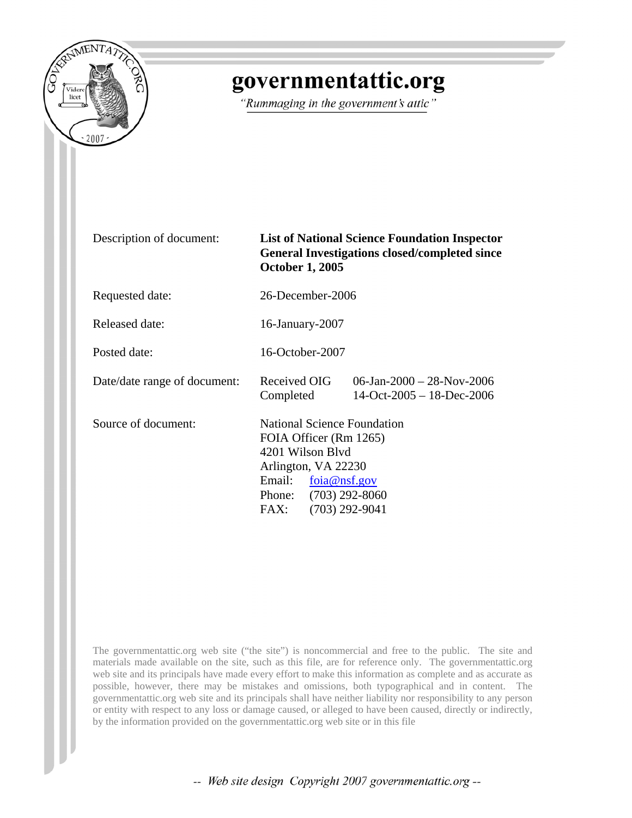

## governmentattic.org

"Rummaging in the government's attic"

| Description of document:     | <b>List of National Science Foundation Inspector</b><br><b>General Investigations closed/completed since</b><br><b>October 1, 2005</b>                            |                                                        |  |  |
|------------------------------|-------------------------------------------------------------------------------------------------------------------------------------------------------------------|--------------------------------------------------------|--|--|
| Requested date:              | 26-December-2006                                                                                                                                                  |                                                        |  |  |
| Released date:               | 16-January-2007                                                                                                                                                   |                                                        |  |  |
| Posted date:                 | 16-October-2007                                                                                                                                                   |                                                        |  |  |
| Date/date range of document: | Received OIG<br>Completed                                                                                                                                         | 06-Jan-2000 - 28-Nov-2006<br>$14-Oct-2005-18-Dec-2006$ |  |  |
| Source of document:          | <b>National Science Foundation</b><br>FOIA Officer (Rm 1265)<br>4201 Wilson Blyd<br>Arlington, VA 22230<br>Email: $foia@nsf.gov$<br>Phone: (703) 292-8060<br>FAX: | $(703)$ 292-9041                                       |  |  |

The governmentattic.org web site ("the site") is noncommercial and free to the public. The site and materials made available on the site, such as this file, are for reference only. The governmentattic.org web site and its principals have made every effort to make this information as complete and as accurate as possible, however, there may be mistakes and omissions, both typographical and in content. The governmentattic.org web site and its principals shall have neither liability nor responsibility to any person or entity with respect to any loss or damage caused, or alleged to have been caused, directly or indirectly, by the information provided on the governmentattic.org web site or in this file

-- Web site design Copyright 2007 governmentattic.org --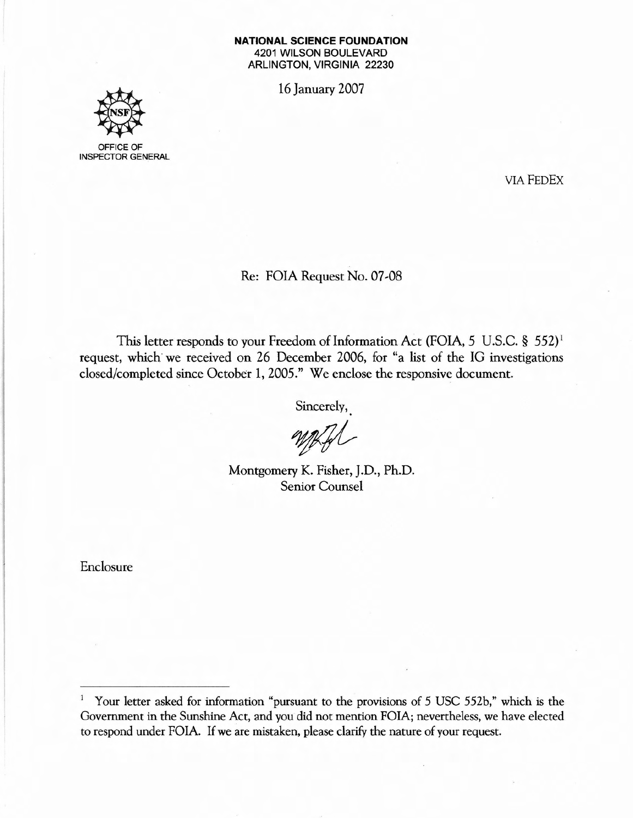## **NATIONAL SCIENCE FOUNDATION** 4201 WILSON BOULEVARD ARLINGTON, VIRGINIA 22230

16 January 2007



OFFICE OF INSPECTOR GENERAL

VIAFEOEx

Re: FOIA Request No. 07-08

This letter responds to your Freedom of Information Act (FOIA, 5 U.S.C. § 552)<sup>1</sup> request, which we received on 26 December 2006, for "a list of the IG investigations closed/completed since October 1, 2005." We enclose the responsive document.

Sincerely,

World

Montgomery K. Fisher, J.D., Ph.D. Senior Counsel

Enclosure

<sup>&</sup>lt;sup>1</sup> Your letter asked for information "pursuant to the provisions of 5 USC 552b," which is the Government in the Sunshine Act, and you did not mention FOIAj nevertheless, we have elected to respond under FOIA. If we are mistaken, please clarify the nature of your request.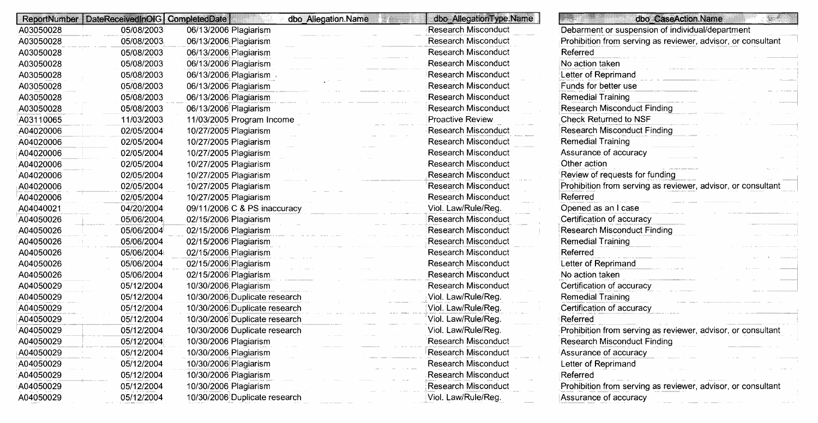|           | ReportNumber   DateReceivedInOIG   CompletedDate | dbo Allegation Name           | dbo AllegationType.Name    | sta Ko<br>dbo CaseAction.Name                                |
|-----------|--------------------------------------------------|-------------------------------|----------------------------|--------------------------------------------------------------|
| A03050028 | 05/08/2003                                       | 06/13/2006 Plagiarism         | <b>Research Misconduct</b> | Debarment or suspension of individual/department             |
| A03050028 | 05/08/2003                                       | 06/13/2006 Plagiarism         | <b>Research Misconduct</b> | Prohibition from serving as reviewer, advisor, or consultant |
| A03050028 | 05/08/2003                                       | 06/13/2006; Plagiarism        | <b>Research Misconduct</b> | Referred                                                     |
| A03050028 | 05/08/2003                                       | 06/13/2006 Plagiarism         | <b>Research Misconduct</b> | No action taken                                              |
| A03050028 | 05/08/2003                                       | 06/13/2006 Plagiarism .       | <b>Research Misconduct</b> | Letter of Reprimand                                          |
| A03050028 | 05/08/2003                                       | 06/13/2006 Plagiarism         | <b>Research Misconduct</b> | Funds for better use                                         |
| A03050028 | 05/08/2003                                       | 06/13/2006 Plagiarism         | <b>Research Misconduct</b> | Remedial Training                                            |
| A03050028 | 05/08/2003                                       | 06/13/2006 Plagiarism         | <b>Research Misconduct</b> | <b>Research Misconduct Finding</b>                           |
| A03110065 | 11/03/2003                                       | 11/03/2005 Program Income     | <b>Proactive Review</b>    | Check Returned to NSF                                        |
| A04020006 | 02/05/2004                                       | 10/27/2005 Plagiarism         | <b>Research Misconduct</b> | <b>Research Misconduct Finding</b>                           |
| A04020006 | 02/05/2004                                       | 10/27/2005 Plagiarism         | <b>Research Misconduct</b> | <b>Remedial Training</b>                                     |
| A04020006 | 02/05/2004                                       | 10/27/2005 Plagiarism         | <b>Research Misconduct</b> | Assurance of accuracy                                        |
| A04020006 | 02/05/2004                                       | 10/27/2005 Plagiarism         | <b>Research Misconduct</b> | Other action                                                 |
| A04020006 | 02/05/2004                                       | 10/27/2005 Plagiarism         | <b>Research Misconduct</b> | Review of requests for funding                               |
| A04020006 | 02/05/2004                                       | 10/27/2005 Plagiarism         | <b>Research Misconduct</b> | Prohibition from serving as reviewer, advisor, or consultant |
| A04020006 | 02/05/2004                                       | 10/27/2005 Plagiarism         | <b>Research Misconduct</b> | Referred                                                     |
| A04040021 | 04/20/2004                                       | 09/11/2006 C & PS inaccuracy  | Viol. Law/Rule/Reg.        | Opened as an I case                                          |
| A04050026 | 05/06/2004                                       | 02/15/2006 Plagiarism         | <b>Research Misconduct</b> | Certification of accuracy                                    |
| A04050026 | 05/06/2004                                       | 02/15/2006 Plagiarism         | <b>Research Misconduct</b> | <b>Research Misconduct Finding</b>                           |
| A04050026 | 05/06/2004                                       | 02/15/2006 Plagiarism         | <b>Research Misconduct</b> | <b>Remedial Training</b>                                     |
| A04050026 | 05/06/2004                                       | 02/15/2006 Plagiarism         | <b>Research Misconduct</b> | Referred                                                     |
| A04050026 | 05/06/2004                                       | 02/15/2006 Plagiarism         | <b>Research Misconduct</b> | Letter of Reprimand                                          |
| A04050026 | 05/06/2004                                       | 02/15/2006 Plagiarism         | <b>Research Misconduct</b> | No action taken                                              |
| A04050029 | 05/12/2004                                       | 10/30/2006 Plagiarism         | <b>Research Misconduct</b> | Certification of accuracy                                    |
| A04050029 | 05/12/2004                                       | 10/30/2006 Duplicate research | Viol. Law/Rule/Reg.        | Remedial Training                                            |
| A04050029 | 05/12/2004                                       | 10/30/2006 Duplicate research | Viol. Law/Rule/Reg.        | Certification of accuracy                                    |
| A04050029 | 05/12/2004                                       | 10/30/2006 Duplicate research | Viol. Law/Rule/Reg.        | Referred                                                     |
| A04050029 | 05/12/2004                                       | 10/30/2006 Duplicate research | Viol. Law/Rule/Reg.        | Prohibition from serving as reviewer, advisor, or consultant |
| A04050029 | 05/12/2004                                       | 10/30/2006 Plagiarism         | <b>Research Misconduct</b> | <b>Research Misconduct Finding</b>                           |
| A04050029 | 05/12/2004                                       | 10/30/2006 Plagiarism         | Research Misconduct        | Assurance of accuracy                                        |
| A04050029 | 05/12/2004                                       | 10/30/2006 Plagiarism         | <b>Research Misconduct</b> | Letter of Reprimand                                          |
| A04050029 | 05/12/2004                                       | 10/30/2006 Plagiarism         | Research Misconduct        | Referred                                                     |
| A04050029 | 05/12/2004                                       | 10/30/2006 Plagiarism         | <b>Research Misconduct</b> | Prohibition from serving as reviewer, advisor, or consultant |
| A04050029 | 05/12/2004                                       | 10/30/2006 Duplicate research | Viol. Law/Rule/Reg.        | Assurance of accuracy                                        |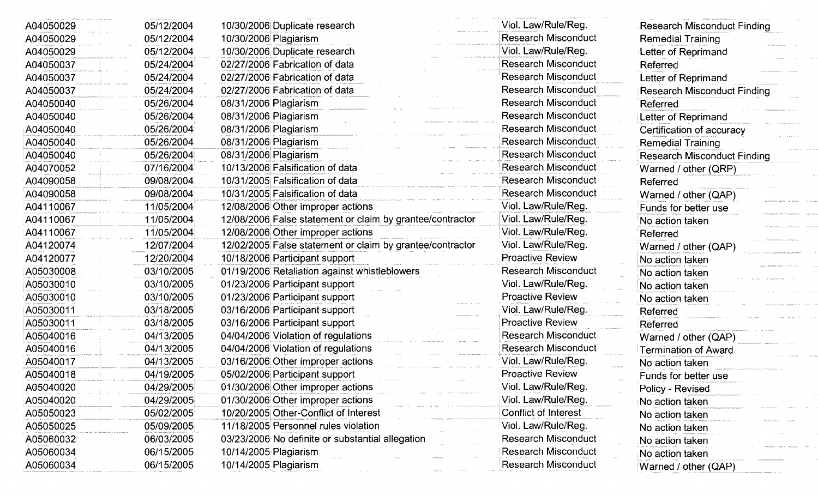| A04050029 | 05/12/2004 | 10/30/2006 Duplicate research                             | Viol. Law/Rule/Reg.        | <b>Research Misconduct Finding</b> |
|-----------|------------|-----------------------------------------------------------|----------------------------|------------------------------------|
| A04050029 | 05/12/2004 | 10/30/2006 Plagiarism                                     | <b>Research Misconduct</b> | <b>Remedial Training</b>           |
| A04050029 | 05/12/2004 | 10/30/2006 Duplicate research                             | Viol. Law/Rule/Reg.        | Letter of Reprimand                |
| A04050037 | 05/24/2004 | 02/27/2006 Fabrication of data                            | <b>Research Misconduct</b> | Referred                           |
| A04050037 | 05/24/2004 | 02/27/2006 Fabrication of data                            | <b>Research Misconduct</b> | Letter of Reprimand                |
| A04050037 | 05/24/2004 | 02/27/2006 Fabrication of data                            | <b>Research Misconduct</b> | <b>Research Misconduct Finding</b> |
| A04050040 | 05/26/2004 | 08/31/2006 Plagiarism                                     | <b>Research Misconduct</b> | Referred                           |
| A04050040 | 05/26/2004 | 08/31/2006 Plagiarism                                     | <b>Research Misconduct</b> | Letter of Reprimand                |
| A04050040 | 05/26/2004 | 08/31/2006 Plagiarism                                     | <b>Research Misconduct</b> | Certification of accuracy          |
| A04050040 | 05/26/2004 | 08/31/2006 Plagiarism                                     | <b>Research Misconduct</b> | <b>Remedial Training</b>           |
| A04050040 | 05/26/2004 | 08/31/2006 Plagiarism                                     | <b>Research Misconduct</b> | <b>Research Misconduct Finding</b> |
| A04070052 | 07/16/2004 | 10/13/2006 Falsification of data                          | <b>Research Misconduct</b> | Warned / other (QRP)               |
| A04090058 | 09/08/2004 | 10/31/2005 Falsification of data                          | <b>Research Misconduct</b> | Referred                           |
| A04090058 | 09/08/2004 | 10/31/2005 Falsification of data                          | <b>Research Misconduct</b> | Warned / other (QAP)               |
| A04110067 | 11/05/2004 | 12/08/2006 Other improper actions                         | Viol. Law/Rule/Reg.        | Funds for better use               |
| A04110067 | 11/05/2004 | 12/08/2006 False statement or claim by grantee/contractor | Viol. Law/Rule/Reg.        | No action taken                    |
| A04110067 | 11/05/2004 | 12/08/2006 Other improper actions                         | Viol. Law/Rule/Reg.        | Referred                           |
| A04120074 | 12/07/2004 | 12/02/2005 False statement or claim by grantee/contractor | Viol. Law/Rule/Reg.        | Warned / other (QAP)               |
| A04120077 | 12/20/2004 | 10/18/2006 Participant support                            | <b>Proactive Review</b>    | No action taken                    |
| A05030008 | 03/10/2005 | 01/19/2006 Retaliation against whistleblowers             | <b>Research Misconduct</b> | No action taken                    |
| A05030010 | 03/10/2005 | 01/23/2006 Participant support                            | Viol. Law/Rule/Reg.        | No action taken                    |
| A05030010 | 03/10/2005 | 01/23/2006 Participant support                            | <b>Proactive Review</b>    | No action taken                    |
| A05030011 | 03/18/2005 | 03/16/2006 Participant support                            | Viol. Law/Rule/Reg.        | Referred                           |
| A05030011 | 03/18/2005 | 03/16/2006 Participant support                            | <b>Proactive Review</b>    | Referred                           |
| A05040016 | 04/13/2005 | 04/04/2006 Violation of regulations                       | <b>Research Misconduct</b> | Warned / other (QAP)               |
| A05040016 | 04/13/2005 | 04/04/2006 Violation of regulations                       | <b>Research Misconduct</b> | Termination of Award               |
| A05040017 | 04/13/2005 | 03/16/2006 Other improper actions                         | Viol. Law/Rule/Reg.        | No action taken                    |
| A05040018 | 04/19/2005 | 05/02/2006 Participant support                            | Proactive Review           | Funds for better use               |
| A05040020 | 04/29/2005 | 01/30/2006 Other improper actions                         | Viol. Law/Rule/Reg.        | Policy - Revised                   |
| A05040020 | 04/29/2005 | 01/30/2006 Other improper actions                         | Viol. Law/Rule/Reg.        | No action taken                    |
| A05050023 | 05/02/2005 | 10/20/2005 Other-Conflict of Interest                     | Conflict of Interest       | No action taken                    |
| A05050025 | 05/09/2005 | 11/18/2005 Personnel rules violation                      | Viol. Law/Rule/Reg.        | No action taken                    |
| A05060032 | 06/03/2005 | 03/23/2006 No definite or substantial allegation          | <b>Research Misconduct</b> | No action taken                    |
| A05060034 | 06/15/2005 | 10/14/2005 Plagiarism                                     | <b>Research Misconduct</b> | No action taken                    |
| A05060034 | 06/15/2005 | 10/14/2005 Plagiarism                                     | <b>Research Misconduct</b> | Warned / other (QAP)               |

**Contractor** 

**Sources Produce**  $\lambda$  -  $\lambda$  -  $\lambda$  -  $\lambda$  -  $\lambda$ 

and a state ananan sansa ka  $\omega_{\rm B}$  .  $\omega_{\rm B}$  is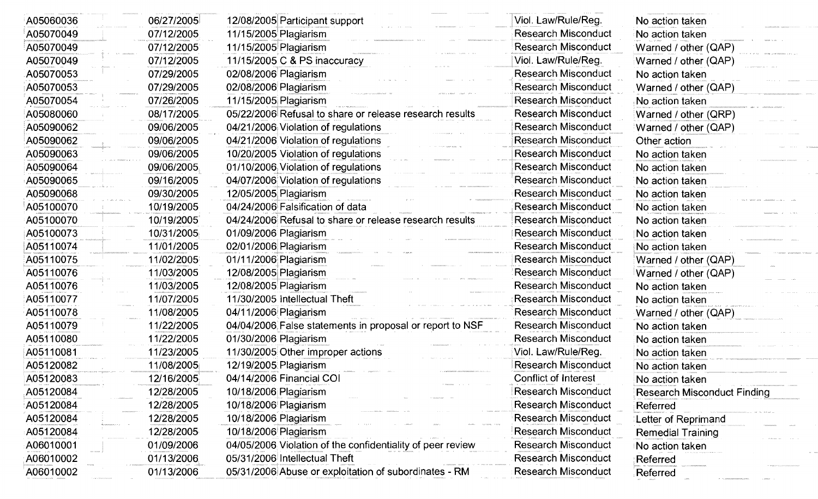| A05060036 | 06/27/2005 | 12/08/2005 Participant support                             | Viol. Law/Rule/Reg.        | No action taken                    |
|-----------|------------|------------------------------------------------------------|----------------------------|------------------------------------|
| A05070049 | 07/12/2005 | 11/15/2005 Plagiarism                                      | <b>Research Misconduct</b> | No action taken                    |
| A05070049 | 07/12/2005 | 11/15/2005 Plagiarism                                      | <b>Research Misconduct</b> | Warned / other (QAP)               |
| A05070049 | 07/12/2005 | 11/15/2005 C & PS inaccuracy                               | Viol. Law/Rule/Reg.        | Warned / other (QAP)               |
| A05070053 | 07/29/2005 | 02/08/2006 Plagiarism                                      | <b>Research Misconduct</b> | No action taken                    |
| A05070053 | 07/29/2005 | 02/08/2006 Plagiarism                                      | <b>Research Misconduct</b> | Warned / other (QAP)               |
| A05070054 | 07/26/2005 | 11/15/2005 Plagiarism                                      | <b>Research Misconduct</b> | No action taken                    |
| A05080060 | 08/17/2005 | 05/22/2006 Refusal to share or release research results    | <b>Research Misconduct</b> | Warned / other (QRP)               |
| A05090062 | 09/06/2005 | 04/21/2006 Violation of regulations                        | <b>Research Misconduct</b> | Warned / other (QAP)               |
| A05090062 | 09/06/2005 | 04/21/2006 Violation of regulations                        | <b>Research Misconduct</b> | Other action                       |
| A05090063 | 09/06/2005 | 10/20/2005 Violation of regulations                        | <b>Research Misconduct</b> | No action taken                    |
| A05090064 | 09/06/2005 | 01/10/2006 Violation of regulations                        | <b>Research Misconduct</b> | No action taken                    |
| A05090065 | 09/16/2005 | 04/07/2006 Violation of regulations                        | <b>Research Misconduct</b> | No action taken                    |
| A05090068 | 09/30/2005 | 12/05/2005 Plagiarism                                      | <b>Research Misconduct</b> | No action taken                    |
| A05100070 | 10/19/2005 | 04/24/2006 Falsification of data                           | <b>Research Misconduct</b> | No action taken                    |
| A05100070 | 10/19/2005 | 04/24/2006 Refusal to share or release research results    | <b>Research Misconduct</b> | No action taken                    |
| A05100073 | 10/31/2005 | 01/09/2006 Plagiarism                                      | <b>Research Misconduct</b> | No action taken                    |
| A05110074 | 11/01/2005 | 02/01/2006 Plagiarism                                      | <b>Research Misconduct</b> | No action taken                    |
| A05110075 | 11/02/2005 | 01/11/2006 Plagiarism                                      | Research Misconduct        | Warned / other (QAP)               |
| A05110076 | 11/03/2005 | 12/08/2005 Plagiarism                                      | <b>Research Misconduct</b> | Warned / other (QAP)               |
| A05110076 | 11/03/2005 | 12/08/2005 Plagiarism                                      | <b>Research Misconduct</b> | No action taken                    |
| A05110077 | 11/07/2005 | 11/30/2005 Intellectual Theft                              | <b>Research Misconduct</b> | No action taken                    |
| A05110078 | 11/08/2005 | 04/11/2006 Plagiarism                                      | <b>Research Misconduct</b> | Warned / other (QAP)               |
| A05110079 | 11/22/2005 | 04/04/2006, False statements in proposal or report to NSF  | <b>Research Misconduct</b> | No action taken                    |
| A05110080 | 11/22/2005 | 01/30/2006 Plagiarism                                      | <b>Research Misconduct</b> | No action taken                    |
| A05110081 | 11/23/2005 | 11/30/2005 Other improper actions                          | Viol. Law/Rule/Reg.        | No action taken                    |
| A05120082 | 11/08/2005 | 12/19/2005 Plagiarism                                      | <b>Research Misconduct</b> | No action taken                    |
| A05120083 | 12/16/2005 | 04/14/2006 Financial COI                                   | Conflict of Interest       | No action taken                    |
| A05120084 | 12/28/2005 | 10/18/2006 Plagiarism                                      | Research Misconduct        | <b>Research Misconduct Finding</b> |
| A05120084 | 12/28/2005 | 10/18/2006 Plagiarism                                      | <b>Research Misconduct</b> | Referred                           |
| A05120084 | 12/28/2005 | 10/18/2006 Plagiarism                                      | <b>Research Misconduct</b> | Letter of Reprimand                |
| A05120084 | 12/28/2005 | 10/18/2006 Plagiarism                                      | <b>Research Misconduct</b> | Remedial Training                  |
| A06010001 | 01/09/2006 | 04/05/2006 Violation of the confidentiality of peer review | <b>Research Misconduct</b> | No action taken                    |
| A06010002 | 01/13/2006 | 05/31/2006 Intellectual Theft                              | <b>Research Misconduct</b> | Referred                           |
| A06010002 | 01/13/2006 | 05/31/2006 Abuse or exploitation of subordinates - RM      | <b>Research Misconduct</b> | Referred                           |

**Continued A**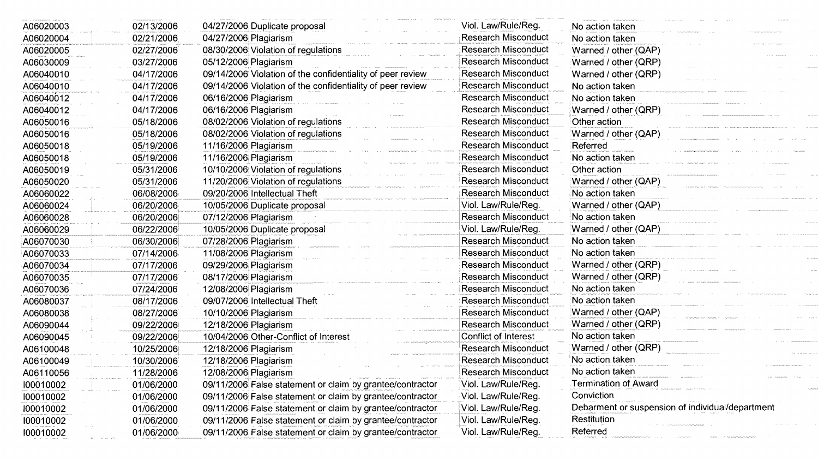| A06020003 | 02/13/2006 | 04/27/2006 Duplicate proposal                              | Viol. Law/Rule/Reg.        | No action taken                                  |
|-----------|------------|------------------------------------------------------------|----------------------------|--------------------------------------------------|
| A06020004 | 02/21/2006 | 04/27/2006 Plagiarism                                      | <b>Research Misconduct</b> | No action taken                                  |
| A06020005 | 02/27/2006 | 08/30/2006 Violation of regulations                        | <b>Research Misconduct</b> | Warned / other (QAP)                             |
| A06030009 | 03/27/2006 | 05/12/2006 Plagiarism                                      | <b>Research Misconduct</b> | Warned / other (QRP)                             |
| A06040010 | 04/17/2006 | 09/14/2006 Violation of the confidentiality of peer review | <b>Research Misconduct</b> | Warned / other (QRP)                             |
| A06040010 | 04/17/2006 | 09/14/2006 Violation of the confidentiality of peer review | <b>Research Misconduct</b> | No action taken                                  |
| A06040012 | 04/17/2006 | 06/16/2006 Plagiarism                                      | <b>Research Misconduct</b> | No action taken                                  |
| A06040012 | 04/17/2006 | 06/16/2006 Plagiarism                                      | <b>Research Misconduct</b> | Warned / other (QRP)                             |
| A06050016 | 05/18/2006 | 08/02/2006 Violation of regulations                        | <b>Research Misconduct</b> | Other action                                     |
| A06050016 | 05/18/2006 | 08/02/2006 Violation of regulations                        | <b>Research Misconduct</b> | Warned / other (QAP)                             |
| A06050018 | 05/19/2006 | 11/16/2006; Plagiarism                                     | <b>Research Misconduct</b> | Referred                                         |
| A06050018 | 05/19/2006 | 11/16/2006 Plagiarism                                      | Research Misconduct        | No action taken                                  |
| A06050019 | 05/31/2006 | 10/10/2006 Violation of regulations                        | Research Misconduct        | Other action                                     |
| A06050020 | 05/31/2006 | 11/20/2006 Violation of regulations                        | Research Misconduct        | Warned / other (QAP)                             |
| A06060022 | 06/08/2006 | 09/20/2006 Intellectual Theft                              | <b>Research Misconduct</b> | No action taken                                  |
| A06060024 | 06/20/2006 | 10/05/2006 Duplicate proposal                              | Viol. Law/Rule/Reg.        | Warned / other (QAP)                             |
| A06060028 | 06/20/2006 | 07/12/2006 Plagiarism                                      | <b>Research Misconduct</b> | No action taken                                  |
| A06060029 | 06/22/2006 | 10/05/2006 Duplicate proposal                              | Viol. Law/Rule/Reg.        | Warned / other (QAP)                             |
| A06070030 | 06/30/2006 | 07/28/2006 Plagiarism                                      | <b>Research Misconduct</b> | No action taken                                  |
| A06070033 | 07/14/2006 | 11/08/2006 Plagiarism                                      | <b>Research Misconduct</b> | No action taken                                  |
| A06070034 | 07/17/2006 | 09/29/2006 Plagiarism                                      | <b>Research Misconduct</b> | Warned / other (QRP)                             |
| A06070035 | 07/17/2006 | 08/17/2006 Plagiarism                                      | <b>Research Misconduct</b> | Warned / other (QRP)                             |
| A06070036 | 07/24/2006 | 12/08/2006 Plagiarism                                      | <b>Research Misconduct</b> | No action taken                                  |
| A06080037 | 08/17/2006 | 09/07/2006 Intellectual Theft                              | <b>Research Misconduct</b> | No action taken                                  |
| A06080038 | 08/27/2006 | 10/10/2006 Plagiarism                                      | <b>Research Misconduct</b> | Warned / other (QAP)                             |
| A06090044 | 09/22/2006 | 12/18/2006 Plagiarism                                      | <b>Research Misconduct</b> | Warned / other (QRP)                             |
| A06090045 | 09/22/2006 | 10/04/2006 Other-Conflict of Interest                      | Conflict of Interest       | No action taken                                  |
| A06100048 | 10/25/2006 | 12/18/2006 Plagiarism                                      | <b>Research Misconduct</b> | Warned / other (QRP)                             |
| A06100049 | 10/30/2006 | 12/18/2006 Plagiarism                                      | <b>Research Misconduct</b> | No action taken                                  |
| A06110056 | 11/28/2006 | 12/08/2006 Plagiarism                                      | <b>Research Misconduct</b> | No action taken                                  |
| 100010002 | 01/06/2000 | 09/11/2006 False statement or claim by grantee/contractor  | Viol. Law/Rule/Reg.        | Termination of Award                             |
| 100010002 | 01/06/2000 | 09/11/2006 False statement or claim by grantee/contractor  | Viol. Law/Rule/Reg.        | Conviction                                       |
| 100010002 | 01/06/2000 | 09/11/2006 False statement or claim by grantee/contractor  | Viol. Law/Rule/Reg.        | Debarment or suspension of individual/department |
| 100010002 | 01/06/2000 | 09/11/2006 False statement or claim by grantee/contractor  | Viol. Law/Rule/Reg.        | Restitution                                      |
| 100010002 | 01/06/2000 | 09/11/2006; False statement or claim by grantee/contractor | Viol. Law/Rule/Reg.        | Referred                                         |
|           |            |                                                            |                            |                                                  |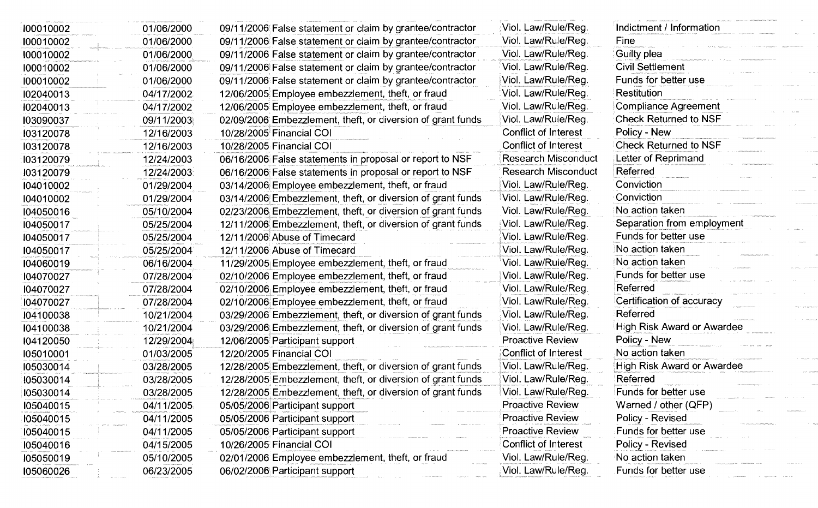| 100010002 | 01/06/2000 | 09/11/2006 False statement or claim by grantee/contractor   | Viol. Law/Rule/Reg.        | Indictment / Information     |
|-----------|------------|-------------------------------------------------------------|----------------------------|------------------------------|
| 100010002 | 01/06/2000 | 09/11/2006 False statement or claim by grantee/contractor   | Viol. Law/Rule/Reg.        | Fine                         |
| 100010002 | 01/06/2000 | 09/11/2006 False statement or claim by grantee/contractor   | Viol. Law/Rule/Reg.        | Guilty plea                  |
| 100010002 | 01/06/2000 | 09/11/2006 False statement or claim by grantee/contractor   | Viol. Law/Rule/Reg.        | <b>Civil Settlement</b>      |
| 100010002 | 01/06/2000 | 09/11/2006 False statement or claim by grantee/contractor   | Viol. Law/Rule/Reg.        | Funds for better use         |
| 102040013 | 04/17/2002 | 12/06/2005 Employee embezzlement, theft, or fraud           | Viol. Law/Rule/Reg.        | Restitution                  |
| I02040013 | 04/17/2002 | 12/06/2005 Employee embezzlement, theft, or fraud           | Viol. Law/Rule/Reg.        | <b>Compliance Agreement</b>  |
| 103090037 | 09/11/2003 | 02/09/2006 Embezzlement, theft, or diversion of grant funds | Viol. Law/Rule/Reg.        | <b>Check Returned to NSF</b> |
| 103120078 | 12/16/2003 | 10/28/2005 Financial COI                                    | Conflict of Interest       | Policy - New                 |
| 103120078 | 12/16/2003 | 10/28/2005 Financial COI                                    | Conflict of Interest       | Check Returned to NSF        |
| 103120079 | 12/24/2003 | 06/16/2006 False statements in proposal or report to NSF    | <b>Research Misconduct</b> | Letter of Reprimand          |
| 103120079 | 12/24/2003 | 06/16/2006 False statements in proposal or report to NSF    | <b>Research Misconduct</b> | Referred                     |
| 104010002 | 01/29/2004 | 03/14/2006 Employee embezzlement, theft, or fraud           | Viol. Law/Rule/Reg.        | Conviction                   |
| 104010002 | 01/29/2004 | 03/14/2006 Embezzlement, theft, or diversion of grant funds | Viol. Law/Rule/Reg.        | Conviction                   |
| 104050016 | 05/10/2004 | 02/23/2006 Embezzlement, theft, or diversion of grant funds | Viol. Law/Rule/Reg.        | No action taken              |
| 104050017 | 05/25/2004 | 12/11/2006 Embezzlement, theft, or diversion of grant funds | Viol. Law/Rule/Reg.        | Separation from employment   |
| 104050017 | 05/25/2004 | 12/11/2006 Abuse of Timecard                                | Viol. Law/Rule/Reg.        | Funds for better use         |
| 104050017 | 05/25/2004 | 12/11/2006 Abuse of Timecard                                | Viol. Law/Rule/Reg.        | No action taken              |
| 104060019 | 06/16/2004 | 11/29/2005 Employee embezzlement, theft, or fraud           | Viol. Law/Rule/Reg.        | No action taken              |
| 104070027 | 07/28/2004 | 02/10/2006 Employee embezzlement, theft, or fraud           | Viol. Law/Rule/Reg.        | Funds for better use         |
| 104070027 | 07/28/2004 | 02/10/2006 Employee embezzlement, theft, or fraud           | Viol. Law/Rule/Reg.        | Referred                     |
| 104070027 | 07/28/2004 | 02/10/2006 Employee embezzlement, theft, or fraud           | Viol. Law/Rule/Reg.        | Certification of accuracy    |
| 104100038 | 10/21/2004 | 03/29/2006 Embezzlement, theft, or diversion of grant funds | Viol. Law/Rule/Reg.        | Referred                     |
| 104100038 | 10/21/2004 | 03/29/2006 Embezzlement, theft, or diversion of grant funds | Viol. Law/Rule/Reg.        | High Risk Award or Awardee   |
| 104120050 | 12/29/2004 | 12/06/2005 Participant support                              | <b>Proactive Review</b>    | Policy - New                 |
| 105010001 | 01/03/2005 | 12/20/2005 Financial COI                                    | Conflict of Interest       | No action taken              |
| 105030014 | 03/28/2005 | 12/28/2005 Embezzlement, theft, or diversion of grant funds | Viol. Law/Rule/Reg.        | High Risk Award or Awardee   |
| 105030014 | 03/28/2005 | 12/28/2005 Embezzlement, theft, or diversion of grant funds | Viol. Law/Rule/Reg.        | Referred                     |
| 105030014 | 03/28/2005 | 12/28/2005 Embezzlement, theft, or diversion of grant funds | Viol. Law/Rule/Reg.        | Funds for better use         |
| 105040015 | 04/11/2005 | 05/05/2006 Participant support                              | <b>Proactive Review</b>    | Warned / other (QFP)         |
| 105040015 | 04/11/2005 | 05/05/2006 Participant support                              | <b>Proactive Review</b>    | Policy - Revised             |
| 105040015 | 04/11/2005 | 05/05/2006 Participant support                              | <b>Proactive Review</b>    | Funds for better use         |
| 105040016 | 04/15/2005 | 10/26/2005 Financial COI                                    | Conflict of Interest       | Policy - Revised             |
| 105050019 | 05/10/2005 | 02/01/2006 Employee embezzlement, theft, or fraud           | Viol. Law/Rule/Reg.        | No action taken              |
| 105060026 | 06/23/2005 | 06/02/2006 Participant support                              | Viol. Law/Rule/Reg.        | Funds for better use         |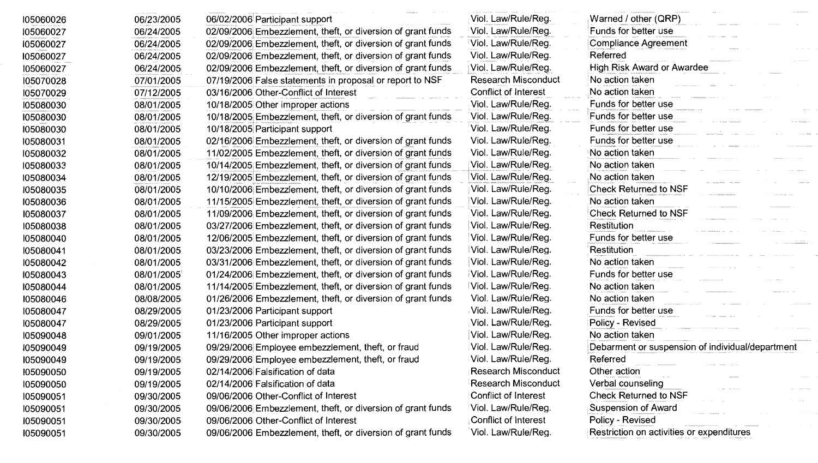| 105060026 | 06/23/2005 | 06/02/2006 Participant support                              | Viol. Law/Rule/Reg.        | Warned / other (QRP)                             |
|-----------|------------|-------------------------------------------------------------|----------------------------|--------------------------------------------------|
| 105060027 | 06/24/2005 | 02/09/2006 Embezzlement, theft, or diversion of grant funds | Viol. Law/Rule/Reg.        | Funds for better use                             |
| 105060027 | 06/24/2005 | 02/09/2006 Embezzlement, theft, or diversion of grant funds | Viol. Law/Rule/Reg.        | Compliance Agreement                             |
| 105060027 | 06/24/2005 | 02/09/2006 Embezzlement, theft, or diversion of grant funds | Viol. Law/Rule/Reg.        | Referred                                         |
| 105060027 | 06/24/2005 | 02/09/2006 Embezzlement, theft, or diversion of grant funds | Viol. Law/Rule/Reg.        | High Risk Award or Awardee                       |
| 105070028 | 07/01/2005 | 07/19/2006 False statements in proposal or report to NSF    | <b>Research Misconduct</b> | No action taken                                  |
| 105070029 | 07/12/2005 | 03/16/2006 Other-Conflict of Interest                       | Conflict of Interest       | No action taken                                  |
| 105080030 | 08/01/2005 | 10/18/2005 Other improper actions                           | Viol. Law/Rule/Reg.        | Funds for better use                             |
| 105080030 | 08/01/2005 | 10/18/2005 Embezzlement, theft, or diversion of grant funds | Viol. Law/Rule/Reg.        | Funds for better use                             |
| 105080030 | 08/01/2005 | 10/18/2005 Participant support                              | Viol. Law/Rule/Reg.        | Funds for better use                             |
| 105080031 | 08/01/2005 | 02/16/2006 Embezzlement, theft, or diversion of grant funds | Viol. Law/Rule/Reg.        | Funds for better use                             |
| 105080032 | 08/01/2005 | 11/02/2005 Embezzlement, theft, or diversion of grant funds | Viol. Law/Rule/Reg.        | <b>No action taken</b>                           |
| 105080033 | 08/01/2005 | 10/14/2005 Embezzlement, theft, or diversion of grant funds | Viol. Law/Rule/Reg.        | No action taken                                  |
| 105080034 | 08/01/2005 | 12/19/2005 Embezzlement, theft, or diversion of grant funds | Viol. Law/Rule/Reg.        | No action taken                                  |
| 105080035 | 08/01/2005 | 10/10/2006 Embezzlement, theft, or diversion of grant funds | Viol. Law/Rule/Reg.        | <b>Check Returned to NSF</b>                     |
| 105080036 | 08/01/2005 | 11/15/2005 Embezzlement, theft, or diversion of grant funds | Viol. Law/Rule/Reg.        | No action taken                                  |
| 105080037 | 08/01/2005 | 11/09/2006 Embezzlement, theft, or diversion of grant funds | Viol. Law/Rule/Reg.        | Check Returned to NSF                            |
| 105080038 | 08/01/2005 | 03/27/2006 Embezzlement, theft, or diversion of grant funds | Viol. Law/Rule/Reg.        | Restitution                                      |
| 105080040 | 08/01/2005 | 12/06/2005 Embezzlement, theft, or diversion of grant funds | Viol. Law/Rule/Reg.        | Funds for better use                             |
| 105080041 | 08/01/2005 | 03/23/2006 Embezzlement, theft, or diversion of grant funds | Viol. Law/Rule/Reg.        | Restitution                                      |
| 105080042 | 08/01/2005 | 03/31/2006 Embezzlement, theft, or diversion of grant funds | Viol. Law/Rule/Reg.        | No action taken                                  |
| 105080043 | 08/01/2005 | 01/24/2006 Embezzlement, theft, or diversion of grant funds | Viol. Law/Rule/Reg.        | Funds for better use                             |
| 105080044 | 08/01/2005 | 11/14/2005 Embezzlement, theft, or diversion of grant funds | Viol. Law/Rule/Reg.        | No action taken                                  |
| 105080046 | 08/08/2005 | 01/26/2006 Embezzlement, theft, or diversion of grant funds | Viol. Law/Rule/Reg.        | No action taken                                  |
| 105080047 | 08/29/2005 | 01/23/2006 Participant support                              | Viol. Law/Rule/Reg.        | Funds for better use                             |
| 105080047 | 08/29/2005 | 01/23/2006 Participant support                              | Viol. Law/Rule/Reg.        | Policy - Revised                                 |
| 105090048 | 09/01/2005 | 11/16/2005 Other improper actions                           | Viol. Law/Rule/Reg.        | No action taken                                  |
| 105090049 | 09/19/2005 | 09/29/2006 Employee embezzlement, theft, or fraud           | Viol. Law/Rule/Reg.        | Debarment or suspension of individual/department |
| 105090049 | 09/19/2005 | 09/29/2006 Employee embezzlement, theft, or fraud           | Viol. Law/Rule/Reg.        | Referred                                         |
| 105090050 | 09/19/2005 | 02/14/2006 Falsification of data                            | <b>Research Misconduct</b> | Other action                                     |
| 105090050 | 09/19/2005 | 02/14/2006 Falsification of data                            | <b>Research Misconduct</b> | Verbal counseling                                |
| 105090051 | 09/30/2005 | 09/06/2006 Other-Conflict of Interest                       | Conflict of Interest       | Check Returned to NSF                            |
| 105090051 | 09/30/2005 | 09/06/2006 Embezzlement, theft, or diversion of grant funds | Viol. Law/Rule/Reg.        | Suspension of Award                              |
| 105090051 | 09/30/2005 | 09/06/2006 Other-Conflict of Interest                       | Conflict of Interest       | Policy - Revised                                 |
| 105090051 | 09/30/2005 | 09/06/2006 Embezzlement, theft, or diversion of grant funds | Viol. Law/Rule/Reg.        | Restriction on activities or expenditures        |